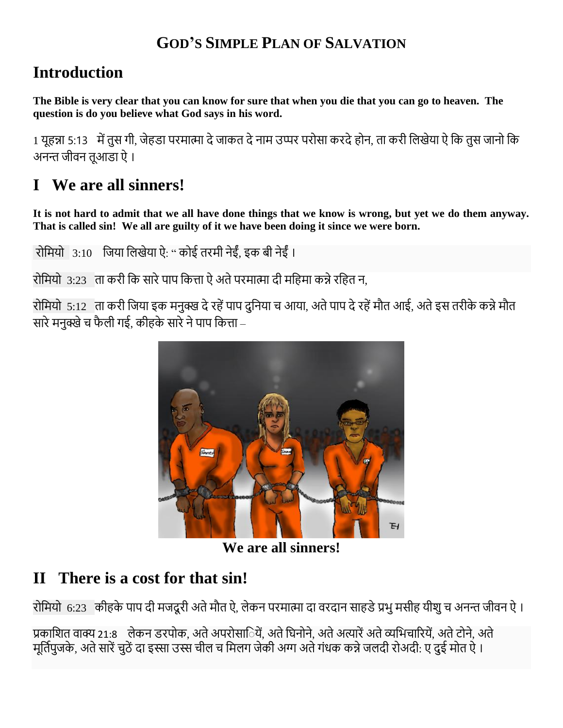#### **GOD'S SIMPLE PLAN OF SALVATION**

## **Introduction**

**The Bible is very clear that you can know for sure that when you die that you can go to heaven. The question is do you believe what God says in his word.**

1 यूहन्ना 5:13 मेंतुस गी, जेहडा परमात्मा देजाकत देनाम उप्पर परोसा करदेहोन, ता करी लिखेया ऐ लक तुस जानो लक अनन्त जीवन तूआडा ऐ ।

# **I We are all sinners!**

**It is not hard to admit that we all have done things that we know is wrong, but yet we do them anyway. That is called sin! We all are guilty of it we have been doing it since we were born.**

रोलमयो 3:10 लजया लिखेया ऐ: " कोई तरमी नेईं, इक बी नेईं ।

रोमियो 3:23 ता करी कि सारे पाप कित्ता ऐ अते परमात्मा दी महिमा कन्ने रहित न,

रोलमयो 5:12 ता करी लजया इक मनुक्ख देरहेंपाप दुलनया च आया, अतेपाप देरहेंमौत आई, अतेइस तरीके कन्नेमौत सारे मनुक्खे च फैली गई, कीहके सारे ने पाप कित्ता –



**We are all sinners!**

## **II There is a cost for that sin!**

रोमियो 6:23 कीहके पाप दी मजदूरी अते मौत ऐ, लेकन परमात्मा दा वरदान साहडे प्रभु मसीह यीशु च अनन्त जीवन ऐ ।

प्रकाशित वाक्य 21:8 लेकन डरपोक, अते अपरोसाियें, अते धिनोने, अते अत्यारें अते व्यभिचारियें, अते टोने, अते मूर्तिपूजके, अते सारें चूठें दा इस्सा उस्स चील च मिलग जेकी अग्ग अते गंधक कन्ने जलदी रोअदी: ए दुई मोत ऐ ।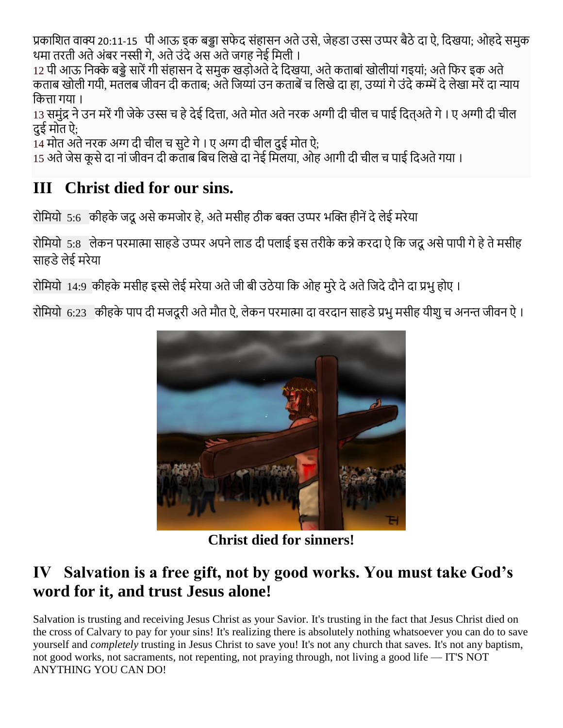प्रकाशित वाक्य 20:11-15 पी आऊ इक बड्डा सफेद संहासन अते उसे, जेहडा उस्स उप्पर बैठे दा ऐ, दिखया; ओहदे समुक थमा तरती अते अंबर नस्सी गे, अते उंदे अस अते जगह नेई मिली ।

12 पी आऊ निक्के बड्डे सारें गी संहासन दे समुक खडोअते दे दिखया, अते कताबां खोलीयां गइयां; अते फिर इक अते कताब खोली गयी, मतलब जीवन दी कताब: अते जिय्यां उन कताबें च लिखे दा हा, उय्यां गे उंदे कम्में दे लेखा मरें दा न्याय लकत्ता गया ।

13 समुंद्र ने उन मरें गी जेके उस्स च हे देई दित्ता, अते मोत अते नरक अग्गी दी चील च पाई दितअते गे । ए अग्गी दी चील दुई मोत ऐ;

14 मोत अते नरक अग्ग दी चील च सुटे गे । ए अग्ग दी चील दुई मोत ऐ;

15 अते जेस कूसे दा नां जीवन दी कताब बिच लिखे दा नेई मिलया, ओह आगी दी चील च पाई दिअते गया ।

## **III Christ died for our sins.**

रोमियो 5:6 कीहके जदू असे कमजोर हे, अते मसीह ठीक बक्त उप्पर भक्ति हीनें दे लेई मरेया

रोमियो 5:8) लेकन परमात्मा साहडे उप्पर अपने लाड दी पलाई इस तरीके कन्ने करदा ऐ कि जदू असे पापी गे हे ते मसीह साहडे लेई मरेया

रोमियो 14:9 कीहके मसीह इस्से लेई मरेया अते जी बी उठेया कि ओह मुरे दे अते जिदे दौने दा प्रभु होए ।

रोमियो 6:23 कीहके पाप दी मजदूरी अते मौत ऐ, लेकन परमात्मा दा वरदान साहडे प्रभु मसीह यीशु च अनन्त जीवन ऐ ।



**Christ died for sinners!**

## **IV Salvation is a free gift, not by good works. You must take God's word for it, and trust Jesus alone!**

Salvation is trusting and receiving Jesus Christ as your Savior. It's trusting in the fact that Jesus Christ died on the cross of Calvary to pay for your sins! It's realizing there is absolutely nothing whatsoever you can do to save yourself and *completely* trusting in Jesus Christ to save you! It's not any church that saves. It's not any baptism, not good works, not sacraments, not repenting, not praying through, not living a good life — IT'S NOT ANYTHING YOU CAN DO!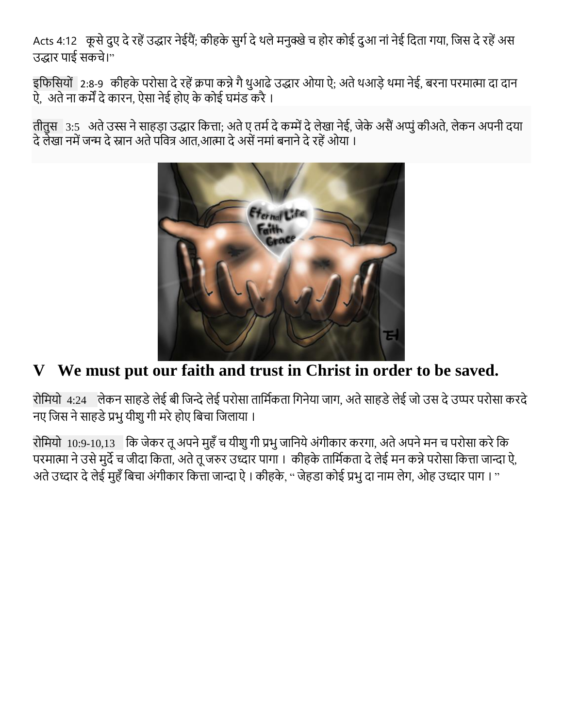Acts 4:12 कूसे दूए दे रहें उद्धार नेईयैं; कीहके सुर्ग दे थले मनुक्खे च होर कोई दुआ नां नेई दिता गया, जिस दे रहें अस उद्धार पाई सकचे।"

इलफलसयों 2:8-9 कीहके परोसा देरहेंक्रपा कन्नेगैथुआढेउद्धार ओया ऐ; अतेथआडेथमा नेई, बरना परमात्मा दा दान ऐ, अते ना कर्में दे कारन, ऐसा नेई होए के कोई घमंड करै ।

तीतुस 3:5 अते उस्स ने साहडा उद्धार कित्ता; अते ए तर्म दे कम्में दे लेखा नेई, जेके असैं अप्पूं कीअते, लेकन अपनी दया दे लेखा नमें जन्म दे स्नान अते पवित्र आत,आत्मा दे असें नमां बनाने दे रहें ओया ।



## **V We must put our faith and trust in Christ in order to be saved.**

रोमियो 4:24 लेकन साहडे लेई बी जिन्दे लेई परोसा तार्मिकता गिनेया जाग, अते साहडे लेई जो उस दे उप्पर परोसा करदे नए जिस ने साहडे प्रभु यीशु गी मरे होए बिचा जिलाया ।

रोमियो 10:9-10,13 कि जेकर तू अपने मुहँ च यीशु गी प्रभु जानिये अंगीकार करगा, अते अपने मन च परोसा करे कि परमात्मा ने उसे मुर्दे च जीदा किता, अते तू जरुर उध्दार पागा । कीहके तार्मिकता दे लेई मन कन्ने परोसा कित्ता जान्दा ऐ, अते उध्दार दे लेई मुहँ बिचा अंगीकार कित्ता जान्दा ऐ । कीहके, " जेहडा कोई प्रभु दा नाम लेग, ओह उध्दार पाग । "